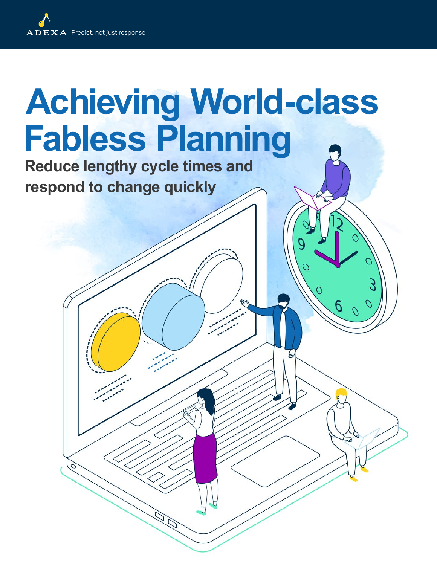# **Achieving World-class Fabless Planning**

 **Reduce lengthy cycle times and respond to change quickly**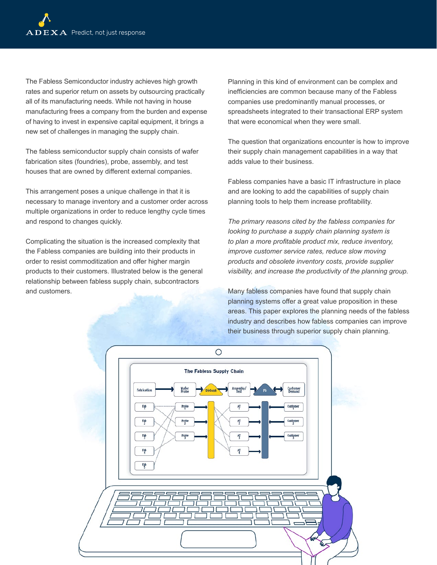The Fabless Semiconductor industry achieves high growth rates and superior return on assets by outsourcing practically all of its manufacturing needs. While not having in house manufacturing frees a company from the burden and expense of having to invest in expensive capital equipment, it brings a new set of challenges in managing the supply chain.

The fabless semiconductor supply chain consists of wafer fabrication sites (foundries), probe, assembly, and test houses that are owned by different external companies.

This arrangement poses a unique challenge in that it is necessary to manage inventory and a customer order across multiple organizations in order to reduce lengthy cycle times and respond to changes quickly.

Complicating the situation is the increased complexity that the Fabless companies are building into their products in order to resist commoditization and offer higher margin products to their customers. Illustrated below is the general relationship between fabless supply chain, subcontractors and customers.

Planning in this kind of environment can be complex and inefficiencies are common because many of the Fabless companies use predominantly manual processes, or spreadsheets integrated to their transactional ERP system that were economical when they were small.

The question that organizations encounter is how to improve their supply chain management capabilities in a way that adds value to their business.

Fabless companies have a basic IT infrastructure in place and are looking to add the capabilities of supply chain planning tools to help them increase profitability.

*The primary reasons cited by the fabless companies for looking to purchase a supply chain planning system is to plan a more profitable product mix, reduce inventory, improve customer service rates, reduce slow moving products and obsolete inventory costs, provide supplier visibility, and increase the productivity of the planning group.* 

Many fabless companies have found that supply chain planning systems offer a great value proposition in these areas. This paper explores the planning needs of the fabless industry and describes how fabless companies can improve their business through superior supply chain planning.

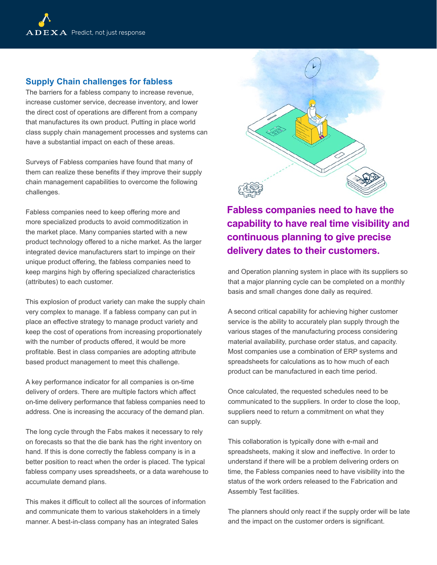# **Supply Chain challenges for fabless**

The barriers for a fabless company to increase revenue, increase customer service, decrease inventory, and lower the direct cost of operations are different from a company that manufactures its own product. Putting in place world class supply chain management processes and systems can have a substantial impact on each of these areas.

Surveys of Fabless companies have found that many of them can realize these benefits if they improve their supply chain management capabilities to overcome the following challenges.

Fabless companies need to keep offering more and more specialized products to avoid commoditization in the market place. Many companies started with a new product technology offered to a niche market. As the larger integrated device manufacturers start to impinge on their unique product offering, the fabless companies need to keep margins high by offering specialized characteristics (attributes) to each customer.

This explosion of product variety can make the supply chain very complex to manage. If a fabless company can put in place an effective strategy to manage product variety and keep the cost of operations from increasing proportionately with the number of products offered, it would be more profitable. Best in class companies are adopting attribute based product management to meet this challenge.

A key performance indicator for all companies is on-time delivery of orders. There are multiple factors which affect on-time delivery performance that fabless companies need to address. One is increasing the accuracy of the demand plan.

The long cycle through the Fabs makes it necessary to rely on forecasts so that the die bank has the right inventory on hand. If this is done correctly the fabless company is in a better position to react when the order is placed. The typical fabless company uses spreadsheets, or a data warehouse to accumulate demand plans.

This makes it difficult to collect all the sources of information and communicate them to various stakeholders in a timely manner. A best-in-class company has an integrated Sales



**Fabless companies need to have the capability to have real time visibility and continuous planning to give precise delivery dates to their customers.**

and Operation planning system in place with its suppliers so that a major planning cycle can be completed on a monthly basis and small changes done daily as required.

A second critical capability for achieving higher customer service is the ability to accurately plan supply through the various stages of the manufacturing process considering material availability, purchase order status, and capacity. Most companies use a combination of ERP systems and spreadsheets for calculations as to how much of each product can be manufactured in each time period.

Once calculated, the requested schedules need to be communicated to the suppliers. In order to close the loop, suppliers need to return a commitment on what they can supply.

This collaboration is typically done with e-mail and spreadsheets, making it slow and ineffective. In order to understand if there will be a problem delivering orders on time, the Fabless companies need to have visibility into the status of the work orders released to the Fabrication and Assembly Test facilities.

The planners should only react if the supply order will be late and the impact on the customer orders is significant.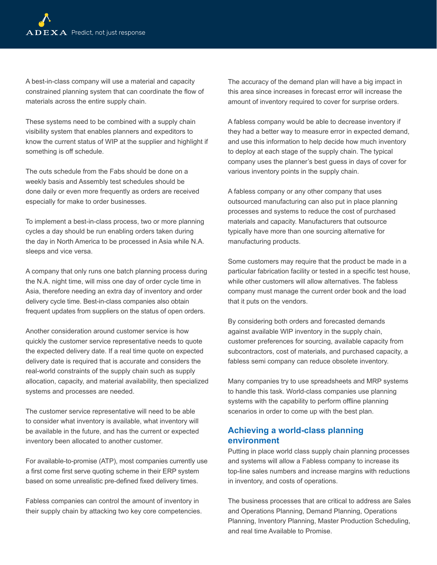A best-in-class company will use a material and capacity constrained planning system that can coordinate the flow of materials across the entire supply chain.

These systems need to be combined with a supply chain visibility system that enables planners and expeditors to know the current status of WIP at the supplier and highlight if something is off schedule.

The outs schedule from the Fabs should be done on a weekly basis and Assembly test schedules should be done daily or even more frequently as orders are received especially for make to order businesses.

To implement a best-in-class process, two or more planning cycles a day should be run enabling orders taken during the day in North America to be processed in Asia while N.A. sleeps and vice versa.

A company that only runs one batch planning process during the N.A. night time, will miss one day of order cycle time in Asia, therefore needing an extra day of inventory and order delivery cycle time. Best-in-class companies also obtain frequent updates from suppliers on the status of open orders.

Another consideration around customer service is how quickly the customer service representative needs to quote the expected delivery date. If a real time quote on expected delivery date is required that is accurate and considers the real-world constraints of the supply chain such as supply allocation, capacity, and material availability, then specialized systems and processes are needed.

The customer service representative will need to be able to consider what inventory is available, what inventory will be available in the future, and has the current or expected inventory been allocated to another customer.

For available-to-promise (ATP), most companies currently use a first come first serve quoting scheme in their ERP system based on some unrealistic pre-defined fixed delivery times.

Fabless companies can control the amount of inventory in their supply chain by attacking two key core competencies. The accuracy of the demand plan will have a big impact in this area since increases in forecast error will increase the amount of inventory required to cover for surprise orders.

A fabless company would be able to decrease inventory if they had a better way to measure error in expected demand, and use this information to help decide how much inventory to deploy at each stage of the supply chain. The typical company uses the planner's best guess in days of cover for various inventory points in the supply chain.

A fabless company or any other company that uses outsourced manufacturing can also put in place planning processes and systems to reduce the cost of purchased materials and capacity. Manufacturers that outsource typically have more than one sourcing alternative for manufacturing products.

Some customers may require that the product be made in a particular fabrication facility or tested in a specific test house, while other customers will allow alternatives. The fabless company must manage the current order book and the load that it puts on the vendors.

By considering both orders and forecasted demands against available WIP inventory in the supply chain, customer preferences for sourcing, available capacity from subcontractors, cost of materials, and purchased capacity, a fabless semi company can reduce obsolete inventory.

Many companies try to use spreadsheets and MRP systems to handle this task. World-class companies use planning systems with the capability to perform offline planning scenarios in order to come up with the best plan.

## **Achieving a world-class planning environment**

Putting in place world class supply chain planning processes and systems will allow a Fabless company to increase its top-line sales numbers and increase margins with reductions in inventory, and costs of operations.

The business processes that are critical to address are Sales and Operations Planning, Demand Planning, Operations Planning, Inventory Planning, Master Production Scheduling, and real time Available to Promise.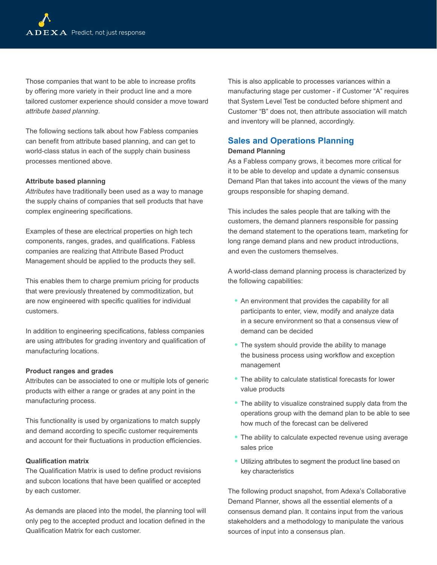Those companies that want to be able to increase profits by offering more variety in their product line and a more tailored customer experience should consider a move toward *attribute based planning*.

The following sections talk about how Fabless companies can benefit from attribute based planning, and can get to world-class status in each of the supply chain business processes mentioned above.

#### **Attribute based planning**

*Attributes* have traditionally been used as a way to manage the supply chains of companies that sell products that have complex engineering specifications.

Examples of these are electrical properties on high tech components, ranges, grades, and qualifications. Fabless companies are realizing that Attribute Based Product Management should be applied to the products they sell.

This enables them to charge premium pricing for products that were previously threatened by commoditization, but are now engineered with specific qualities for individual customers.

In addition to engineering specifications, fabless companies are using attributes for grading inventory and qualification of manufacturing locations.

#### **Product ranges and grades**

Attributes can be associated to one or multiple lots of generic products with either a range or grades at any point in the manufacturing process.

This functionality is used by organizations to match supply and demand according to specific customer requirements and account for their fluctuations in production efficiencies.

#### **Qualification matrix**

The Qualification Matrix is used to define product revisions and subcon locations that have been qualified or accepted by each customer.

As demands are placed into the model, the planning tool will only peg to the accepted product and location defined in the Qualification Matrix for each customer.

This is also applicable to processes variances within a manufacturing stage per customer - if Customer "A" requires that System Level Test be conducted before shipment and Customer "B" does not, then attribute association will match and inventory will be planned, accordingly.

# **Sales and Operations Planning**

#### **Demand Planning**

As a Fabless company grows, it becomes more critical for it to be able to develop and update a dynamic consensus Demand Plan that takes into account the views of the many groups responsible for shaping demand.

This includes the sales people that are talking with the customers, the demand planners responsible for passing the demand statement to the operations team, marketing for long range demand plans and new product introductions, and even the customers themselves.

A world-class demand planning process is characterized by the following capabilities:

- An environment that provides the capability for all participants to enter, view, modify and analyze data in a secure environment so that a consensus view of demand can be decided
- The system should provide the ability to manage the business process using workflow and exception management
- The ability to calculate statistical forecasts for lower value products
- The ability to visualize constrained supply data from the operations group with the demand plan to be able to see how much of the forecast can be delivered
- The ability to calculate expected revenue using average sales price
- Utilizing attributes to segment the product line based on key characteristics

The following product snapshot, from Adexa's Collaborative Demand Planner, shows all the essential elements of a consensus demand plan. It contains input from the various stakeholders and a methodology to manipulate the various sources of input into a consensus plan.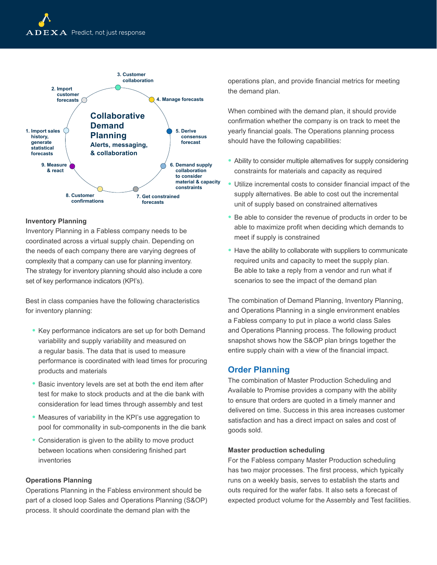

#### **Inventory Planning**

Inventory Planning in a Fabless company needs to be coordinated across a virtual supply chain. Depending on the needs of each company there are varying degrees of complexity that a company can use for planning inventory. The strategy for inventory planning should also include a core set of key performance indicators (KPI's).

Best in class companies have the following characteristics for inventory planning:

- Key performance indicators are set up for both Demand variability and supply variability and measured on a regular basis. The data that is used to measure performance is coordinated with lead times for procuring products and materials
- Basic inventory levels are set at both the end item after test for make to stock products and at the die bank with consideration for lead times through assembly and test
- Measures of variability in the KPI's use aggregation to pool for commonality in sub-components in the die bank
- Consideration is given to the ability to move product between locations when considering finished part inventories

#### **Operations Planning**

Operations Planning in the Fabless environment should be part of a closed loop Sales and Operations Planning (S&OP) process. It should coordinate the demand plan with the

operations plan, and provide financial metrics for meeting the demand plan.

When combined with the demand plan, it should provide confirmation whether the company is on track to meet the yearly financial goals. The Operations planning process should have the following capabilities:

- Ability to consider multiple alternatives for supply considering constraints for materials and capacity as required
- Utilize incremental costs to consider financial impact of the supply alternatives. Be able to cost out the incremental unit of supply based on constrained alternatives
- Be able to consider the revenue of products in order to be able to maximize profit when deciding which demands to meet if supply is constrained
- Have the ability to collaborate with suppliers to communicate required units and capacity to meet the supply plan. Be able to take a reply from a vendor and run what if scenarios to see the impact of the demand plan

The combination of Demand Planning, Inventory Planning, and Operations Planning in a single environment enables a Fabless company to put in place a world class Sales and Operations Planning process. The following product snapshot shows how the S&OP plan brings together the entire supply chain with a view of the financial impact.

### **Order Planning**

The combination of Master Production Scheduling and Available to Promise provides a company with the ability to ensure that orders are quoted in a timely manner and delivered on time. Success in this area increases customer satisfaction and has a direct impact on sales and cost of goods sold.

#### **Master production scheduling**

For the Fabless company Master Production scheduling has two major processes. The first process, which typically runs on a weekly basis, serves to establish the starts and outs required for the wafer fabs. It also sets a forecast of expected product volume for the Assembly and Test facilities.